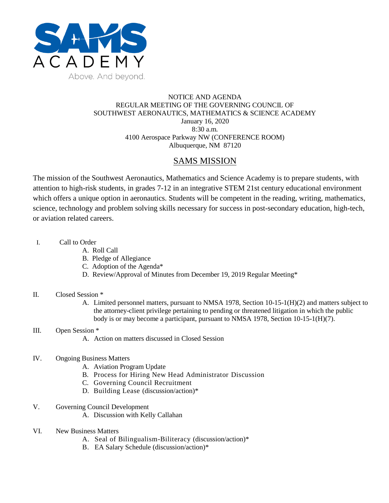

### NOTICE AND AGENDA REGULAR MEETING OF THE GOVERNING COUNCIL OF SOUTHWEST AERONAUTICS, MATHEMATICS & SCIENCE ACADEMY January 16, 2020 8:30 a.m. 4100 Aerospace Parkway NW (CONFERENCE ROOM) Albuquerque, NM 87120

# SAMS MISSION

The mission of the Southwest Aeronautics, Mathematics and Science Academy is to prepare students, with attention to high-risk students, in grades 7-12 in an integrative STEM 21st century educational environment which offers a unique option in aeronautics. Students will be competent in the reading, writing, mathematics, science, technology and problem solving skills necessary for success in post-secondary education, high-tech, or aviation related careers.

- I. Call to Order
	- A. Roll Call
	- B. Pledge of Allegiance
	- C. Adoption of the Agenda\*
	- D. Review/Approval of Minutes from December 19, 2019 Regular Meeting\*

#### II. Closed Session \*

A. Limited personnel matters, pursuant to NMSA 1978, Section 10-15-1(H)(2) and matters subject to the attorney-client privilege pertaining to pending or threatened litigation in which the public body is or may become a participant, pursuant to NMSA 1978, Section 10-15-1(H)(7).

#### III. Open Session \*

A. Action on matters discussed in Closed Session

## IV. Ongoing Business Matters

- A. Aviation Program Update
- B. Process for Hiring New Head Administrator Discussion
- C. Governing Council Recruitment
- D. Building Lease (discussion/action)\*
- V. Governing Council Development
	- A. Discussion with Kelly Callahan
- VI. New Business Matters
	- A. Seal of Bilingualism-Biliteracy (discussion/action)\*
	- B. EA Salary Schedule (discussion/action)\*